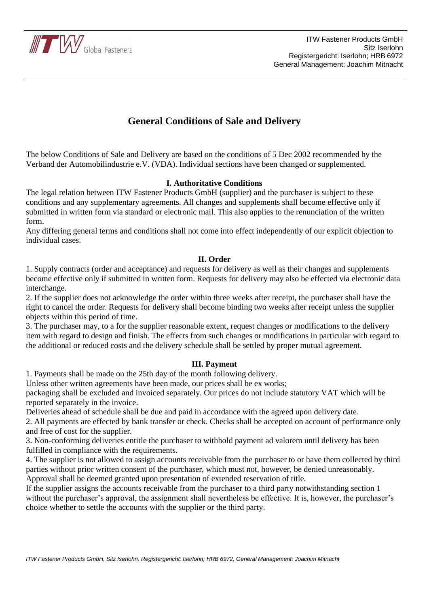

# **General Conditions of Sale and Delivery**

The below Conditions of Sale and Delivery are based on the conditions of 5 Dec 2002 recommended by the Verband der Automobilindustrie e.V. (VDA). Individual sections have been changed or supplemented.

# **I. Authoritative Conditions**

The legal relation between ITW Fastener Products GmbH (supplier) and the purchaser is subject to these conditions and any supplementary agreements. All changes and supplements shall become effective only if submitted in written form via standard or electronic mail. This also applies to the renunciation of the written form.

Any differing general terms and conditions shall not come into effect independently of our explicit objection to individual cases.

# **II. Order**

1. Supply contracts (order and acceptance) and requests for delivery as well as their changes and supplements become effective only if submitted in written form. Requests for delivery may also be effected via electronic data interchange.

2. If the supplier does not acknowledge the order within three weeks after receipt, the purchaser shall have the right to cancel the order. Requests for delivery shall become binding two weeks after receipt unless the supplier objects within this period of time.

3. The purchaser may, to a for the supplier reasonable extent, request changes or modifications to the delivery item with regard to design and finish. The effects from such changes or modifications in particular with regard to the additional or reduced costs and the delivery schedule shall be settled by proper mutual agreement.

# **III. Payment**

1. Payments shall be made on the 25th day of the month following delivery.

Unless other written agreements have been made, our prices shall be ex works;

packaging shall be excluded and invoiced separately. Our prices do not include statutory VAT which will be reported separately in the invoice.

Deliveries ahead of schedule shall be due and paid in accordance with the agreed upon delivery date.

2. All payments are effected by bank transfer or check. Checks shall be accepted on account of performance only and free of cost for the supplier.

3. Non-conforming deliveries entitle the purchaser to withhold payment ad valorem until delivery has been fulfilled in compliance with the requirements.

4. The supplier is not allowed to assign accounts receivable from the purchaser to or have them collected by third parties without prior written consent of the purchaser, which must not, however, be denied unreasonably. Approval shall be deemed granted upon presentation of extended reservation of title.

If the supplier assigns the accounts receivable from the purchaser to a third party notwithstanding section 1 without the purchaser's approval, the assignment shall nevertheless be effective. It is, however, the purchaser's choice whether to settle the accounts with the supplier or the third party.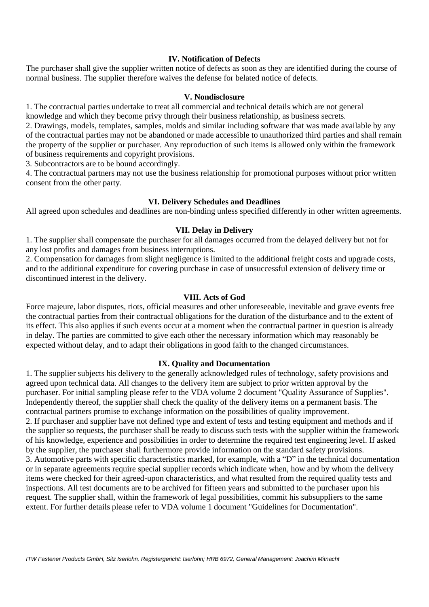## **IV. Notification of Defects**

The purchaser shall give the supplier written notice of defects as soon as they are identified during the course of normal business. The supplier therefore waives the defense for belated notice of defects.

#### **V. Nondisclosure**

1. The contractual parties undertake to treat all commercial and technical details which are not general knowledge and which they become privy through their business relationship, as business secrets.

2. Drawings, models, templates, samples, molds and similar including software that was made available by any of the contractual parties may not be abandoned or made accessible to unauthorized third parties and shall remain the property of the supplier or purchaser. Any reproduction of such items is allowed only within the framework of business requirements and copyright provisions.

3. Subcontractors are to be bound accordingly.

4. The contractual partners may not use the business relationship for promotional purposes without prior written consent from the other party.

## **VI. Delivery Schedules and Deadlines**

All agreed upon schedules and deadlines are non-binding unless specified differently in other written agreements.

#### **VII. Delay in Delivery**

1. The supplier shall compensate the purchaser for all damages occurred from the delayed delivery but not for any lost profits and damages from business interruptions.

2. Compensation for damages from slight negligence is limited to the additional freight costs and upgrade costs, and to the additional expenditure for covering purchase in case of unsuccessful extension of delivery time or discontinued interest in the delivery.

#### **VIII. Acts of God**

Force majeure, labor disputes, riots, official measures and other unforeseeable, inevitable and grave events free the contractual parties from their contractual obligations for the duration of the disturbance and to the extent of its effect. This also applies if such events occur at a moment when the contractual partner in question is already in delay. The parties are committed to give each other the necessary information which may reasonably be expected without delay, and to adapt their obligations in good faith to the changed circumstances.

#### **IX. Quality and Documentation**

1. The supplier subjects his delivery to the generally acknowledged rules of technology, safety provisions and agreed upon technical data. All changes to the delivery item are subject to prior written approval by the purchaser. For initial sampling please refer to the VDA volume 2 document "Quality Assurance of Supplies". Independently thereof, the supplier shall check the quality of the delivery items on a permanent basis. The contractual partners promise to exchange information on the possibilities of quality improvement. 2. If purchaser and supplier have not defined type and extent of tests and testing equipment and methods and if the supplier so requests, the purchaser shall be ready to discuss such tests with the supplier within the framework of his knowledge, experience and possibilities in order to determine the required test engineering level. If asked by the supplier, the purchaser shall furthermore provide information on the standard safety provisions. 3. Automotive parts with specific characteristics marked, for example, with a "D" in the technical documentation or in separate agreements require special supplier records which indicate when, how and by whom the delivery items were checked for their agreed-upon characteristics, and what resulted from the required quality tests and inspections. All test documents are to be archived for fifteen years and submitted to the purchaser upon his request. The supplier shall, within the framework of legal possibilities, commit his subsuppliers to the same extent. For further details please refer to VDA volume 1 document "Guidelines for Documentation".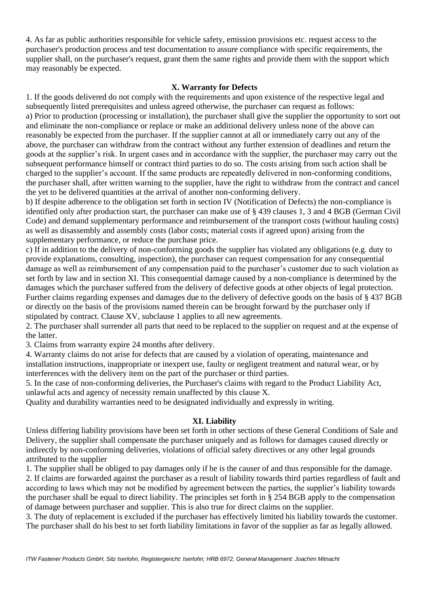4. As far as public authorities responsible for vehicle safety, emission provisions etc. request access to the purchaser's production process and test documentation to assure compliance with specific requirements, the supplier shall, on the purchaser's request, grant them the same rights and provide them with the support which may reasonably be expected.

# **X. Warranty for Defects**

1. If the goods delivered do not comply with the requirements and upon existence of the respective legal and subsequently listed prerequisites and unless agreed otherwise, the purchaser can request as follows: a) Prior to production (processing or installation), the purchaser shall give the supplier the opportunity to sort out and eliminate the non-compliance or replace or make an additional delivery unless none of the above can reasonably be expected from the purchaser. If the supplier cannot at all or immediately carry out any of the above, the purchaser can withdraw from the contract without any further extension of deadlines and return the goods at the supplier's risk. In urgent cases and in accordance with the supplier, the purchaser may carry out the subsequent performance himself or contract third parties to do so. The costs arising from such action shall be charged to the supplier's account. If the same products are repeatedly delivered in non-conforming conditions, the purchaser shall, after written warning to the supplier, have the right to withdraw from the contract and cancel the yet to be delivered quantities at the arrival of another non-conforming delivery.

b) If despite adherence to the obligation set forth in section IV (Notification of Defects) the non-compliance is identified only after production start, the purchaser can make use of § 439 clauses 1, 3 and 4 BGB (German Civil Code) and demand supplementary performance and reimbursement of the transport costs (without hauling costs) as well as disassembly and assembly costs (labor costs; material costs if agreed upon) arising from the supplementary performance, or reduce the purchase price.

c) If in addition to the delivery of non-conforming goods the supplier has violated any obligations (e.g. duty to provide explanations, consulting, inspection), the purchaser can request compensation for any consequential damage as well as reimbursement of any compensation paid to the purchaser's customer due to such violation as set forth by law and in section XI. This consequential damage caused by a non-compliance is determined by the damages which the purchaser suffered from the delivery of defective goods at other objects of legal protection. Further claims regarding expenses and damages due to the delivery of defective goods on the basis of § 437 BGB or directly on the basis of the provisions named therein can be brought forward by the purchaser only if stipulated by contract. Clause XV, subclause 1 applies to all new agreements.

2. The purchaser shall surrender all parts that need to be replaced to the supplier on request and at the expense of the latter.

3. Claims from warranty expire 24 months after delivery.

4. Warranty claims do not arise for defects that are caused by a violation of operating, maintenance and installation instructions, inappropriate or inexpert use, faulty or negligent treatment and natural wear, or by interferences with the delivery item on the part of the purchaser or third parties.

5. In the case of non-conforming deliveries, the Purchaser's claims with regard to the Product Liability Act, unlawful acts and agency of necessity remain unaffected by this clause X.

Quality and durability warranties need to be designated individually and expressly in writing.

# **XI. Liability**

Unless differing liability provisions have been set forth in other sections of these General Conditions of Sale and Delivery, the supplier shall compensate the purchaser uniquely and as follows for damages caused directly or indirectly by non-conforming deliveries, violations of official safety directives or any other legal grounds attributed to the supplier

1. The supplier shall be obliged to pay damages only if he is the causer of and thus responsible for the damage. 2. If claims are forwarded against the purchaser as a result of liability towards third parties regardless of fault and according to laws which may not be modified by agreement between the parties, the supplier's liability towards the purchaser shall be equal to direct liability. The principles set forth in § 254 BGB apply to the compensation of damage between purchaser and supplier. This is also true for direct claims on the supplier.

3. The duty of replacement is excluded if the purchaser has effectively limited his liability towards the customer. The purchaser shall do his best to set forth liability limitations in favor of the supplier as far as legally allowed.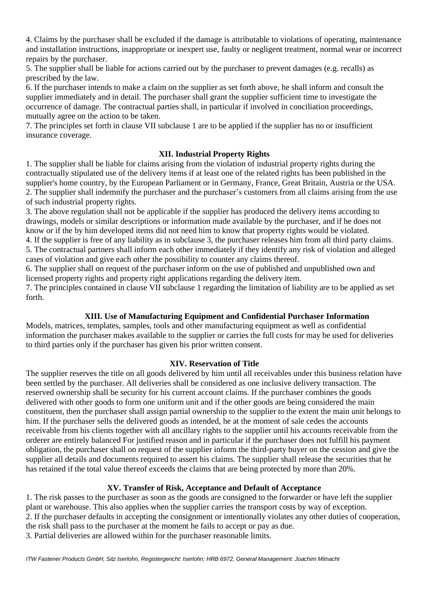4. Claims by the purchaser shall be excluded if the damage is attributable to violations of operating, maintenance and installation instructions, inappropriate or inexpert use, faulty or negligent treatment, normal wear or incorrect repairs by the purchaser.

5. The supplier shall be liable for actions carried out by the purchaser to prevent damages (e.g. recalls) as prescribed by the law.

6. If the purchaser intends to make a claim on the supplier as set forth above, he shall inform and consult the supplier immediately and in detail. The purchaser shall grant the supplier sufficient time to investigate the occurrence of damage. The contractual parties shall, in particular if involved in conciliation proceedings, mutually agree on the action to be taken.

7. The principles set forth in clause VII subclause 1 are to be applied if the supplier has no or insufficient insurance coverage.

# **XII. Industrial Property Rights**

1. The supplier shall be liable for claims arising from the violation of industrial property rights during the contractually stipulated use of the delivery items if at least one of the related rights has been published in the supplier's home country, by the European Parliament or in Germany, France, Great Britain, Austria or the USA. 2. The supplier shall indemnify the purchaser and the purchaser's customers from all claims arising from the use of such industrial property rights.

3. The above regulation shall not be applicable if the supplier has produced the delivery items according to drawings, models or similar descriptions or information made available by the purchaser, and if he does not know or if the by him developed items did not need him to know that property rights would be violated.

4. If the supplier is free of any liability as in subclause 3, the purchaser releases him from all third party claims. 5. The contractual partners shall inform each other immediately if they identify any risk of violation and alleged cases of violation and give each other the possibility to counter any claims thereof.

6. The supplier shall on request of the purchaser inform on the use of published and unpublished own and licensed property rights and property right applications regarding the delivery item.

7. The principles contained in clause VII subclause 1 regarding the limitation of liability are to be applied as set forth.

# **XIII. Use of Manufacturing Equipment and Confidential Purchaser Information**

Models, matrices, templates, samples, tools and other manufacturing equipment as well as confidential information the purchaser makes available to the supplier or carries the full costs for may be used for deliveries to third parties only if the purchaser has given his prior written consent.

## **XIV. Reservation of Title**

The supplier reserves the title on all goods delivered by him until all receivables under this business relation have been settled by the purchaser. All deliveries shall be considered as one inclusive delivery transaction. The reserved ownership shall be security for his current account claims. If the purchaser combines the goods delivered with other goods to form one uniform unit and if the other goods are being considered the main constituent, then the purchaser shall assign partial ownership to the supplier to the extent the main unit belongs to him. If the purchaser sells the delivered goods as intended, he at the moment of sale cedes the accounts receivable from his clients together with all ancillary rights to the supplier until his accounts receivable from the orderer are entirely balanced For justified reason and in particular if the purchaser does not fulfill his payment obligation, the purchaser shall on request of the supplier inform the third-party buyer on the cession and give the supplier all details and documents required to assert his claims. The supplier shall release the securities that he has retained if the total value thereof exceeds the claims that are being protected by more than 20%.

# **XV. Transfer of Risk, Acceptance and Default of Acceptance**

1. The risk passes to the purchaser as soon as the goods are consigned to the forwarder or have left the supplier plant or warehouse. This also applies when the supplier carries the transport costs by way of exception. 2. If the purchaser defaults in accepting the consignment or intentionally violates any other duties of cooperation, the risk shall pass to the purchaser at the moment he fails to accept or pay as due. 3. Partial deliveries are allowed within for the purchaser reasonable limits.

*ITW Fastener Products GmbH, Sitz Iserlohn, Registergericht: Iserlohn; HRB 6972, General Management: Joachim Mitnacht*